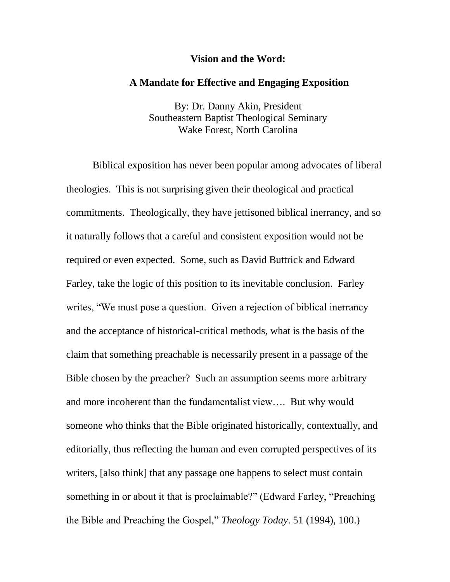#### **Vision and the Word:**

### **A Mandate for Effective and Engaging Exposition**

By: Dr. Danny Akin, President Southeastern Baptist Theological Seminary Wake Forest, North Carolina

Biblical exposition has never been popular among advocates of liberal theologies. This is not surprising given their theological and practical commitments. Theologically, they have jettisoned biblical inerrancy, and so it naturally follows that a careful and consistent exposition would not be required or even expected. Some, such as David Buttrick and Edward Farley, take the logic of this position to its inevitable conclusion. Farley writes, "We must pose a question. Given a rejection of biblical inerrancy and the acceptance of historical-critical methods, what is the basis of the claim that something preachable is necessarily present in a passage of the Bible chosen by the preacher? Such an assumption seems more arbitrary and more incoherent than the fundamentalist view…. But why would someone who thinks that the Bible originated historically, contextually, and editorially, thus reflecting the human and even corrupted perspectives of its writers, [also think] that any passage one happens to select must contain something in or about it that is proclaimable?" (Edward Farley, "Preaching the Bible and Preaching the Gospel," *Theology Today*. 51 (1994), 100.)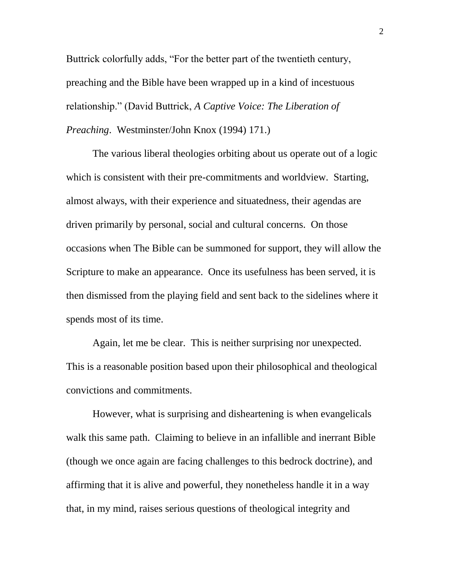Buttrick colorfully adds, "For the better part of the twentieth century, preaching and the Bible have been wrapped up in a kind of incestuous relationship." (David Buttrick, *A Captive Voice: The Liberation of Preaching*. Westminster/John Knox (1994) 171.)

The various liberal theologies orbiting about us operate out of a logic which is consistent with their pre-commitments and worldview. Starting, almost always, with their experience and situatedness, their agendas are driven primarily by personal, social and cultural concerns. On those occasions when The Bible can be summoned for support, they will allow the Scripture to make an appearance. Once its usefulness has been served, it is then dismissed from the playing field and sent back to the sidelines where it spends most of its time.

Again, let me be clear. This is neither surprising nor unexpected. This is a reasonable position based upon their philosophical and theological convictions and commitments.

However, what is surprising and disheartening is when evangelicals walk this same path. Claiming to believe in an infallible and inerrant Bible (though we once again are facing challenges to this bedrock doctrine), and affirming that it is alive and powerful, they nonetheless handle it in a way that, in my mind, raises serious questions of theological integrity and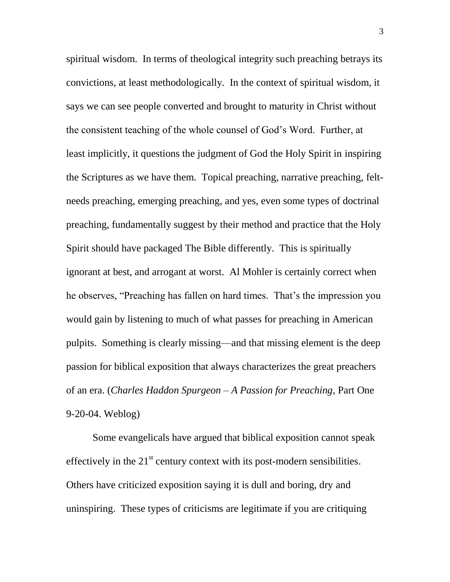spiritual wisdom. In terms of theological integrity such preaching betrays its convictions, at least methodologically. In the context of spiritual wisdom, it says we can see people converted and brought to maturity in Christ without the consistent teaching of the whole counsel of God's Word. Further, at least implicitly, it questions the judgment of God the Holy Spirit in inspiring the Scriptures as we have them. Topical preaching, narrative preaching, feltneeds preaching, emerging preaching, and yes, even some types of doctrinal preaching, fundamentally suggest by their method and practice that the Holy Spirit should have packaged The Bible differently. This is spiritually ignorant at best, and arrogant at worst. Al Mohler is certainly correct when he observes, "Preaching has fallen on hard times. That's the impression you would gain by listening to much of what passes for preaching in American pulpits. Something is clearly missing—and that missing element is the deep passion for biblical exposition that always characterizes the great preachers of an era. (*Charles Haddon Spurgeon – A Passion for Preaching*, Part One 9-20-04. Weblog)

Some evangelicals have argued that biblical exposition cannot speak effectively in the  $21<sup>st</sup>$  century context with its post-modern sensibilities. Others have criticized exposition saying it is dull and boring, dry and uninspiring. These types of criticisms are legitimate if you are critiquing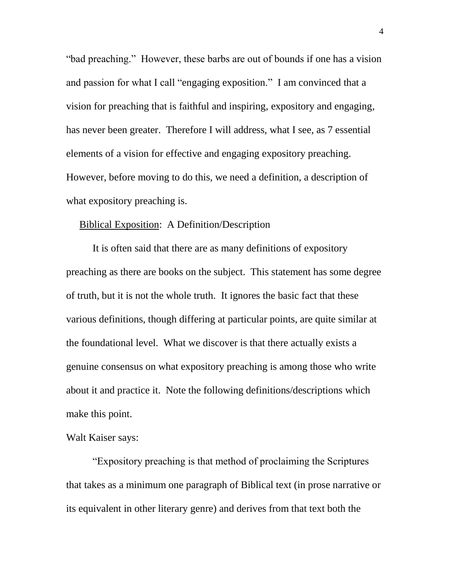"bad preaching." However, these barbs are out of bounds if one has a vision and passion for what I call "engaging exposition." I am convinced that a vision for preaching that is faithful and inspiring, expository and engaging, has never been greater. Therefore I will address, what I see, as 7 essential elements of a vision for effective and engaging expository preaching. However, before moving to do this, we need a definition, a description of what expository preaching is.

## Biblical Exposition: A Definition/Description

It is often said that there are as many definitions of expository preaching as there are books on the subject. This statement has some degree of truth, but it is not the whole truth. It ignores the basic fact that these various definitions, though differing at particular points, are quite similar at the foundational level. What we discover is that there actually exists a genuine consensus on what expository preaching is among those who write about it and practice it. Note the following definitions/descriptions which make this point.

## Walt Kaiser says:

"Expository preaching is that method of proclaiming the Scriptures that takes as a minimum one paragraph of Biblical text (in prose narrative or its equivalent in other literary genre) and derives from that text both the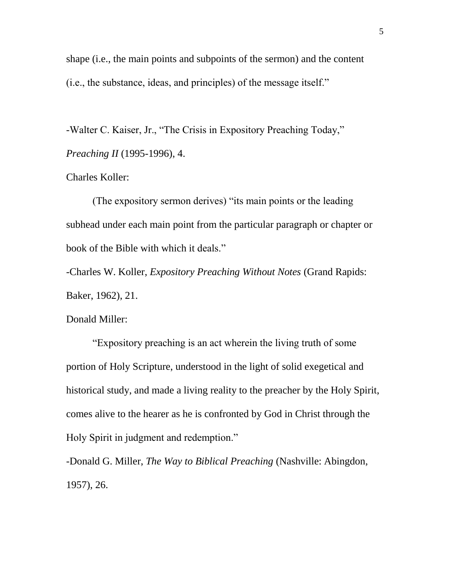shape (i.e., the main points and subpoints of the sermon) and the content (i.e., the substance, ideas, and principles) of the message itself."

-Walter C. Kaiser, Jr., "The Crisis in Expository Preaching Today," *Preaching II* (1995-1996), 4.

### Charles Koller:

(The expository sermon derives) "its main points or the leading subhead under each main point from the particular paragraph or chapter or book of the Bible with which it deals."

-Charles W. Koller, *Expository Preaching Without Notes* (Grand Rapids: Baker, 1962), 21.

Donald Miller:

"Expository preaching is an act wherein the living truth of some portion of Holy Scripture, understood in the light of solid exegetical and historical study, and made a living reality to the preacher by the Holy Spirit, comes alive to the hearer as he is confronted by God in Christ through the Holy Spirit in judgment and redemption."

-Donald G. Miller, *The Way to Biblical Preaching* (Nashville: Abingdon, 1957), 26.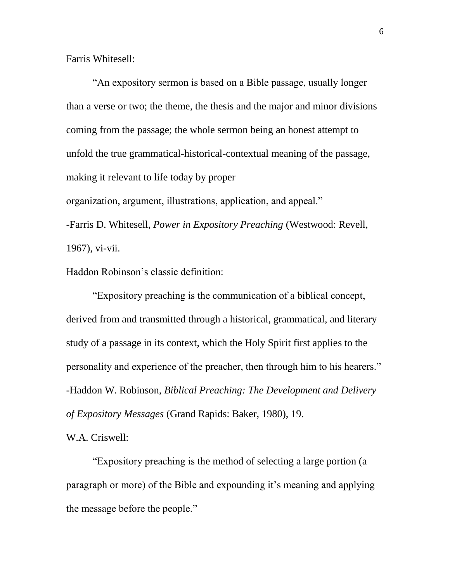Farris Whitesell:

"An expository sermon is based on a Bible passage, usually longer than a verse or two; the theme, the thesis and the major and minor divisions coming from the passage; the whole sermon being an honest attempt to unfold the true grammatical-historical-contextual meaning of the passage, making it relevant to life today by proper organization, argument, illustrations, application, and appeal."

-Farris D. Whitesell, *Power in Expository Preaching* (Westwood: Revell, 1967), vi-vii.

Haddon Robinson's classic definition:

"Expository preaching is the communication of a biblical concept, derived from and transmitted through a historical, grammatical, and literary study of a passage in its context, which the Holy Spirit first applies to the personality and experience of the preacher, then through him to his hearers." -Haddon W. Robinson, *Biblical Preaching: The Development and Delivery of Expository Messages* (Grand Rapids: Baker, 1980), 19.

W.A. Criswell:

"Expository preaching is the method of selecting a large portion (a paragraph or more) of the Bible and expounding it's meaning and applying the message before the people."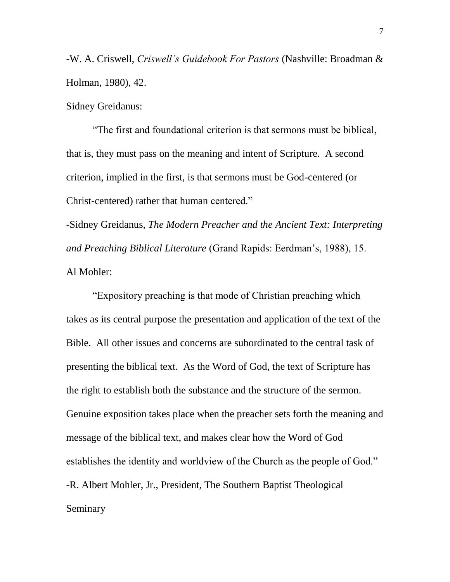-W. A. Criswell, *Criswell's Guidebook For Pastors* (Nashville: Broadman & Holman, 1980), 42.

Sidney Greidanus:

"The first and foundational criterion is that sermons must be biblical, that is, they must pass on the meaning and intent of Scripture. A second criterion, implied in the first, is that sermons must be God-centered (or Christ-centered) rather that human centered."

-Sidney Greidanus, *The Modern Preacher and the Ancient Text: Interpreting and Preaching Biblical Literature* (Grand Rapids: Eerdman's, 1988), 15. Al Mohler:

"Expository preaching is that mode of Christian preaching which takes as its central purpose the presentation and application of the text of the Bible. All other issues and concerns are subordinated to the central task of presenting the biblical text. As the Word of God, the text of Scripture has the right to establish both the substance and the structure of the sermon. Genuine exposition takes place when the preacher sets forth the meaning and message of the biblical text, and makes clear how the Word of God establishes the identity and worldview of the Church as the people of God." -R. Albert Mohler, Jr., President, The Southern Baptist Theological Seminary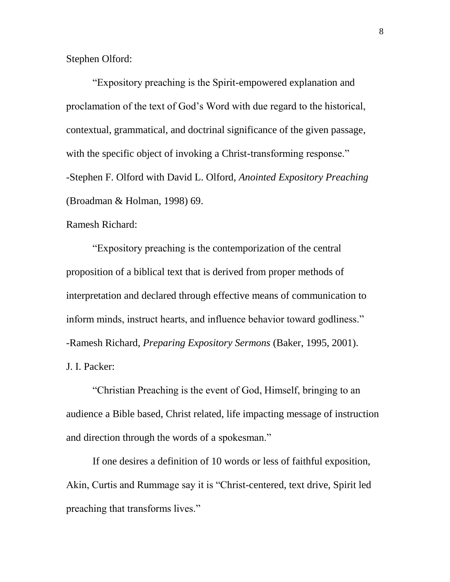Stephen Olford:

"Expository preaching is the Spirit-empowered explanation and proclamation of the text of God's Word with due regard to the historical, contextual, grammatical, and doctrinal significance of the given passage, with the specific object of invoking a Christ-transforming response." -Stephen F. Olford with David L. Olford, *Anointed Expository Preaching* (Broadman & Holman, 1998) 69.

Ramesh Richard:

"Expository preaching is the contemporization of the central proposition of a biblical text that is derived from proper methods of interpretation and declared through effective means of communication to inform minds, instruct hearts, and influence behavior toward godliness." -Ramesh Richard, *Preparing Expository Sermons* (Baker, 1995, 2001). J. I. Packer:

"Christian Preaching is the event of God, Himself, bringing to an audience a Bible based, Christ related, life impacting message of instruction and direction through the words of a spokesman."

If one desires a definition of 10 words or less of faithful exposition, Akin, Curtis and Rummage say it is "Christ-centered, text drive, Spirit led preaching that transforms lives."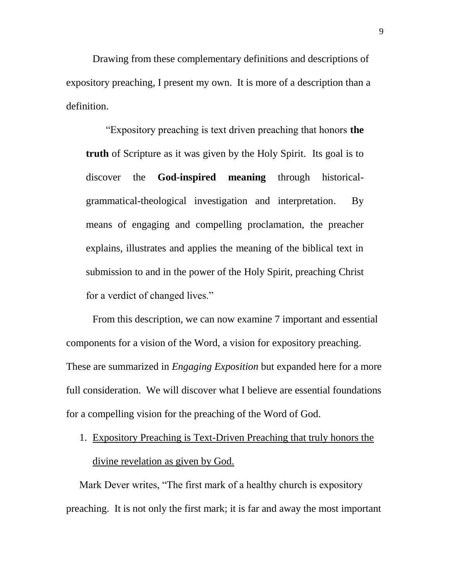Drawing from these complementary definitions and descriptions of expository preaching, I present my own. It is more of a description than a definition.

"Expository preaching is text driven preaching that honors **the truth** of Scripture as it was given by the Holy Spirit. Its goal is to discover the **God-inspired meaning** through historicalgrammatical-theological investigation and interpretation. By means of engaging and compelling proclamation, the preacher explains, illustrates and applies the meaning of the biblical text in submission to and in the power of the Holy Spirit, preaching Christ for a verdict of changed lives."

From this description, we can now examine 7 important and essential components for a vision of the Word, a vision for expository preaching. These are summarized in *Engaging Exposition* but expanded here for a more full consideration. We will discover what I believe are essential foundations for a compelling vision for the preaching of the Word of God.

1. Expository Preaching is Text-Driven Preaching that truly honors the divine revelation as given by God.

Mark Dever writes, "The first mark of a healthy church is expository preaching. It is not only the first mark; it is far and away the most important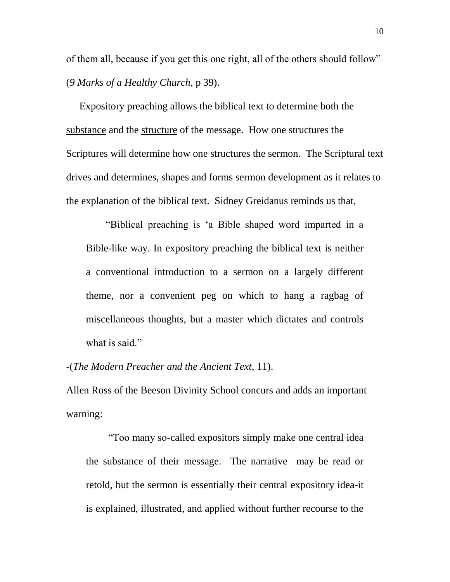of them all, because if you get this one right, all of the others should follow" (*9 Marks of a Healthy Church*, p 39).

Expository preaching allows the biblical text to determine both the substance and the structure of the message. How one structures the Scriptures will determine how one structures the sermon. The Scriptural text drives and determines, shapes and forms sermon development as it relates to the explanation of the biblical text. Sidney Greidanus reminds us that,

"Biblical preaching is 'a Bible shaped word imparted in a Bible-like way. In expository preaching the biblical text is neither a conventional introduction to a sermon on a largely different theme, nor a convenient peg on which to hang a ragbag of miscellaneous thoughts, but a master which dictates and controls what is said."

-(*The Modern Preacher and the Ancient Text,* 11).

Allen Ross of the Beeson Divinity School concurs and adds an important warning:

"Too many so-called expositors simply make one central idea the substance of their message. The narrative may be read or retold, but the sermon is essentially their central expository idea-it is explained, illustrated, and applied without further recourse to the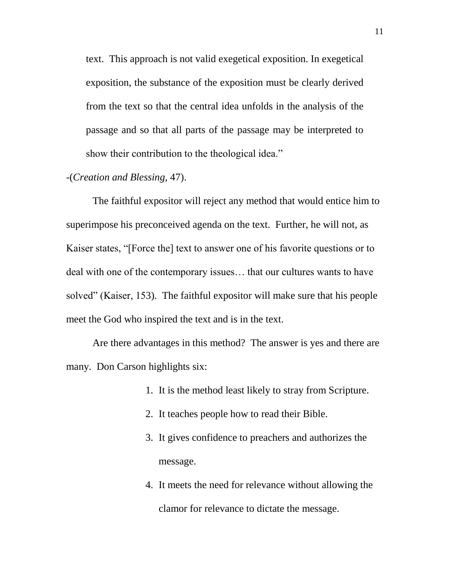text. This approach is not valid exegetical exposition. In exegetical exposition, the substance of the exposition must be clearly derived from the text so that the central idea unfolds in the analysis of the passage and so that all parts of the passage may be interpreted to show their contribution to the theological idea."

## -(*Creation and Blessing,* 47).

The faithful expositor will reject any method that would entice him to superimpose his preconceived agenda on the text. Further, he will not, as Kaiser states, "[Force the] text to answer one of his favorite questions or to deal with one of the contemporary issues… that our cultures wants to have solved" (Kaiser, 153). The faithful expositor will make sure that his people meet the God who inspired the text and is in the text.

Are there advantages in this method? The answer is yes and there are many. Don Carson highlights six:

- 1. It is the method least likely to stray from Scripture.
- 2. It teaches people how to read their Bible.
- 3. It gives confidence to preachers and authorizes the message.
- 4. It meets the need for relevance without allowing the clamor for relevance to dictate the message.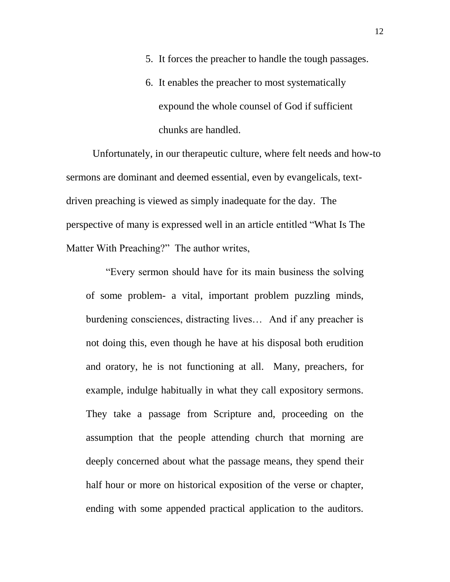- 5. It forces the preacher to handle the tough passages.
- 6. It enables the preacher to most systematically expound the whole counsel of God if sufficient chunks are handled.

Unfortunately, in our therapeutic culture, where felt needs and how-to sermons are dominant and deemed essential, even by evangelicals, textdriven preaching is viewed as simply inadequate for the day. The perspective of many is expressed well in an article entitled "What Is The Matter With Preaching?" The author writes,

"Every sermon should have for its main business the solving of some problem- a vital, important problem puzzling minds, burdening consciences, distracting lives… And if any preacher is not doing this, even though he have at his disposal both erudition and oratory, he is not functioning at all. Many, preachers, for example, indulge habitually in what they call expository sermons. They take a passage from Scripture and, proceeding on the assumption that the people attending church that morning are deeply concerned about what the passage means, they spend their half hour or more on historical exposition of the verse or chapter, ending with some appended practical application to the auditors.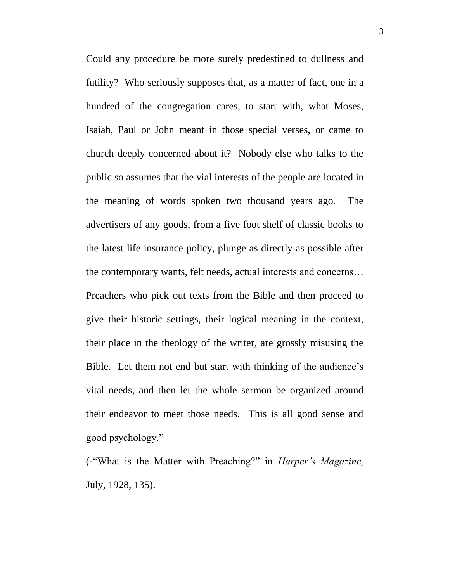Could any procedure be more surely predestined to dullness and futility? Who seriously supposes that, as a matter of fact, one in a hundred of the congregation cares, to start with, what Moses, Isaiah, Paul or John meant in those special verses, or came to church deeply concerned about it? Nobody else who talks to the public so assumes that the vial interests of the people are located in the meaning of words spoken two thousand years ago. The advertisers of any goods, from a five foot shelf of classic books to the latest life insurance policy, plunge as directly as possible after the contemporary wants, felt needs, actual interests and concerns… Preachers who pick out texts from the Bible and then proceed to give their historic settings, their logical meaning in the context, their place in the theology of the writer, are grossly misusing the Bible. Let them not end but start with thinking of the audience's vital needs, and then let the whole sermon be organized around their endeavor to meet those needs. This is all good sense and good psychology."

(-"What is the Matter with Preaching?" in *Harper's Magazine,* July, 1928, 135).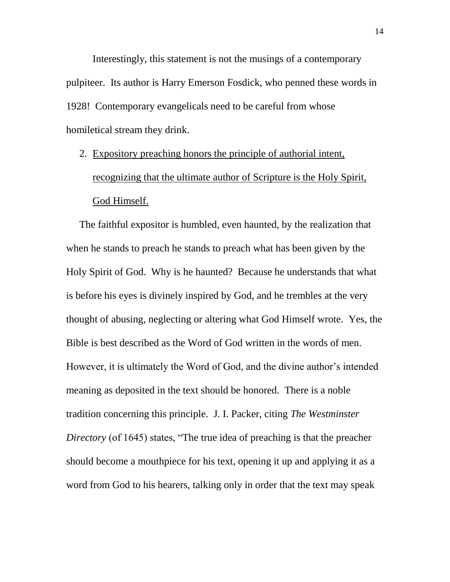Interestingly, this statement is not the musings of a contemporary pulpiteer. Its author is Harry Emerson Fosdick, who penned these words in 1928! Contemporary evangelicals need to be careful from whose homiletical stream they drink.

2. Expository preaching honors the principle of authorial intent, recognizing that the ultimate author of Scripture is the Holy Spirit, God Himself.

The faithful expositor is humbled, even haunted, by the realization that when he stands to preach he stands to preach what has been given by the Holy Spirit of God. Why is he haunted? Because he understands that what is before his eyes is divinely inspired by God, and he trembles at the very thought of abusing, neglecting or altering what God Himself wrote. Yes, the Bible is best described as the Word of God written in the words of men. However, it is ultimately the Word of God, and the divine author's intended meaning as deposited in the text should be honored. There is a noble tradition concerning this principle. J. I. Packer, citing *The Westminster Directory* (of 1645) states, "The true idea of preaching is that the preacher should become a mouthpiece for his text, opening it up and applying it as a word from God to his hearers, talking only in order that the text may speak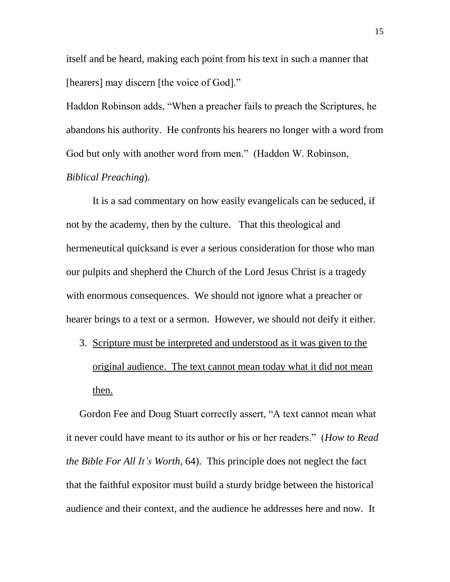itself and be heard, making each point from his text in such a manner that [hearers] may discern [the voice of God]."

Haddon Robinson adds, "When a preacher fails to preach the Scriptures, he abandons his authority. He confronts his hearers no longer with a word from God but only with another word from men." (Haddon W. Robinson, *Biblical Preaching*).

It is a sad commentary on how easily evangelicals can be seduced, if not by the academy, then by the culture. That this theological and hermeneutical quicksand is ever a serious consideration for those who man our pulpits and shepherd the Church of the Lord Jesus Christ is a tragedy with enormous consequences. We should not ignore what a preacher or hearer brings to a text or a sermon. However, we should not deify it either.

3. Scripture must be interpreted and understood as it was given to the original audience. The text cannot mean today what it did not mean then.

Gordon Fee and Doug Stuart correctly assert, "A text cannot mean what it never could have meant to its author or his or her readers." (*How to Read the Bible For All It's Worth*, 64). This principle does not neglect the fact that the faithful expositor must build a sturdy bridge between the historical audience and their context, and the audience he addresses here and now. It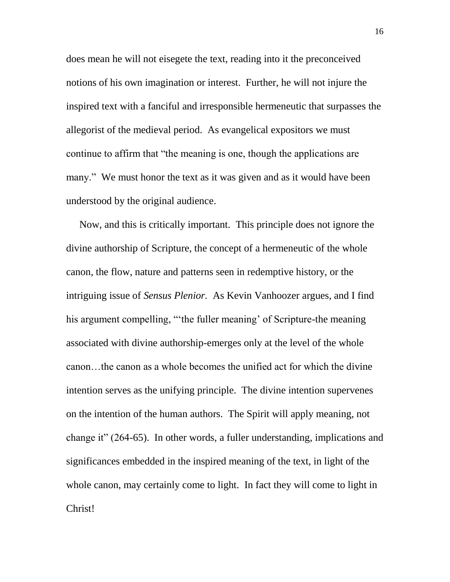does mean he will not eisegete the text, reading into it the preconceived notions of his own imagination or interest. Further, he will not injure the inspired text with a fanciful and irresponsible hermeneutic that surpasses the allegorist of the medieval period. As evangelical expositors we must continue to affirm that "the meaning is one, though the applications are many." We must honor the text as it was given and as it would have been understood by the original audience.

Now, and this is critically important. This principle does not ignore the divine authorship of Scripture, the concept of a hermeneutic of the whole canon, the flow, nature and patterns seen in redemptive history, or the intriguing issue of *Sensus Plenior.* As Kevin Vanhoozer argues, and I find his argument compelling, "'the fuller meaning' of Scripture-the meaning associated with divine authorship-emerges only at the level of the whole canon…the canon as a whole becomes the unified act for which the divine intention serves as the unifying principle. The divine intention supervenes on the intention of the human authors. The Spirit will apply meaning, not change it" (264-65). In other words, a fuller understanding, implications and significances embedded in the inspired meaning of the text, in light of the whole canon, may certainly come to light. In fact they will come to light in Christ!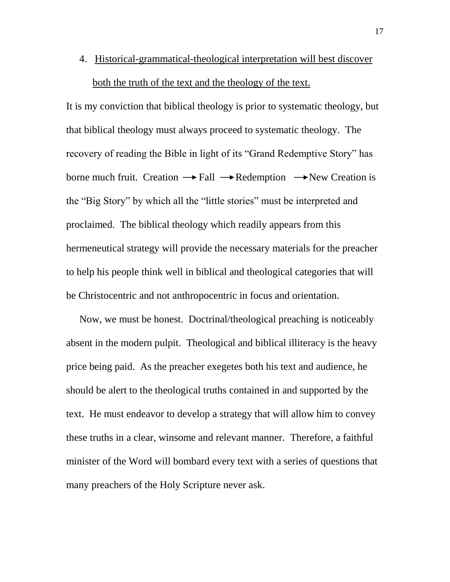4. Historical-grammatical-theological interpretation will best discover both the truth of the text and the theology of the text.

It is my conviction that biblical theology is prior to systematic theology, but that biblical theology must always proceed to systematic theology. The recovery of reading the Bible in light of its "Grand Redemptive Story" has borne much fruit. Creation  $\rightarrow$  Fall  $\rightarrow$  Redemption  $\rightarrow$  New Creation is the "Big Story" by which all the "little stories" must be interpreted and proclaimed. The biblical theology which readily appears from this hermeneutical strategy will provide the necessary materials for the preacher to help his people think well in biblical and theological categories that will be Christocentric and not anthropocentric in focus and orientation.

Now, we must be honest. Doctrinal/theological preaching is noticeably absent in the modern pulpit. Theological and biblical illiteracy is the heavy price being paid. As the preacher exegetes both his text and audience, he should be alert to the theological truths contained in and supported by the text. He must endeavor to develop a strategy that will allow him to convey these truths in a clear, winsome and relevant manner. Therefore, a faithful minister of the Word will bombard every text with a series of questions that many preachers of the Holy Scripture never ask.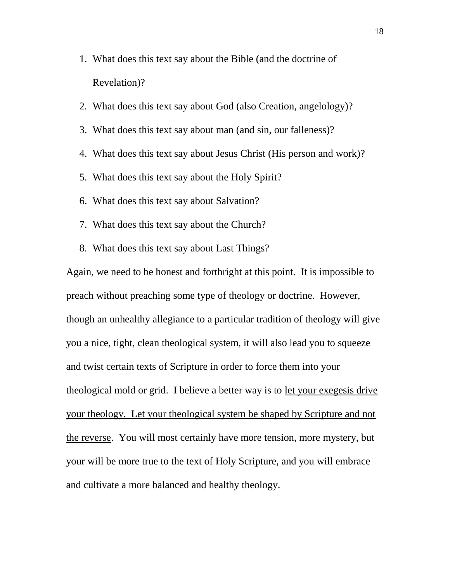- 1. What does this text say about the Bible (and the doctrine of Revelation)?
- 2. What does this text say about God (also Creation, angelology)?
- 3. What does this text say about man (and sin, our falleness)?
- 4. What does this text say about Jesus Christ (His person and work)?
- 5. What does this text say about the Holy Spirit?
- 6. What does this text say about Salvation?
- 7. What does this text say about the Church?
- 8. What does this text say about Last Things?

Again, we need to be honest and forthright at this point. It is impossible to preach without preaching some type of theology or doctrine. However, though an unhealthy allegiance to a particular tradition of theology will give you a nice, tight, clean theological system, it will also lead you to squeeze and twist certain texts of Scripture in order to force them into your theological mold or grid. I believe a better way is to let your exegesis drive your theology. Let your theological system be shaped by Scripture and not the reverse. You will most certainly have more tension, more mystery, but your will be more true to the text of Holy Scripture, and you will embrace and cultivate a more balanced and healthy theology.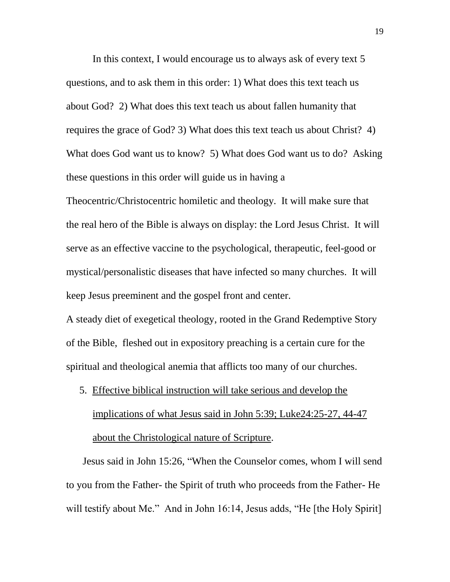In this context, I would encourage us to always ask of every text 5 questions, and to ask them in this order: 1) What does this text teach us about God? 2) What does this text teach us about fallen humanity that requires the grace of God? 3) What does this text teach us about Christ? 4) What does God want us to know? 5) What does God want us to do? Asking these questions in this order will guide us in having a

Theocentric/Christocentric homiletic and theology. It will make sure that the real hero of the Bible is always on display: the Lord Jesus Christ. It will serve as an effective vaccine to the psychological, therapeutic, feel-good or mystical/personalistic diseases that have infected so many churches. It will keep Jesus preeminent and the gospel front and center.

A steady diet of exegetical theology, rooted in the Grand Redemptive Story of the Bible, fleshed out in expository preaching is a certain cure for the spiritual and theological anemia that afflicts too many of our churches.

5. Effective biblical instruction will take serious and develop the implications of what Jesus said in John 5:39; Luke24:25-27, 44-47 about the Christological nature of Scripture.

Jesus said in John 15:26, "When the Counselor comes, whom I will send to you from the Father- the Spirit of truth who proceeds from the Father- He will testify about Me." And in John 16:14, Jesus adds, "He [the Holy Spirit]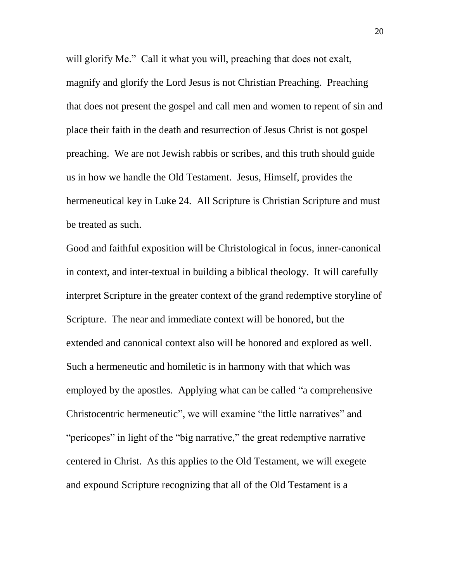will glorify Me." Call it what you will, preaching that does not exalt, magnify and glorify the Lord Jesus is not Christian Preaching. Preaching that does not present the gospel and call men and women to repent of sin and place their faith in the death and resurrection of Jesus Christ is not gospel preaching. We are not Jewish rabbis or scribes, and this truth should guide us in how we handle the Old Testament. Jesus, Himself, provides the hermeneutical key in Luke 24. All Scripture is Christian Scripture and must be treated as such.

Good and faithful exposition will be Christological in focus, inner-canonical in context, and inter-textual in building a biblical theology. It will carefully interpret Scripture in the greater context of the grand redemptive storyline of Scripture. The near and immediate context will be honored, but the extended and canonical context also will be honored and explored as well. Such a hermeneutic and homiletic is in harmony with that which was employed by the apostles. Applying what can be called "a comprehensive Christocentric hermeneutic", we will examine "the little narratives" and "pericopes" in light of the "big narrative," the great redemptive narrative centered in Christ. As this applies to the Old Testament, we will exegete and expound Scripture recognizing that all of the Old Testament is a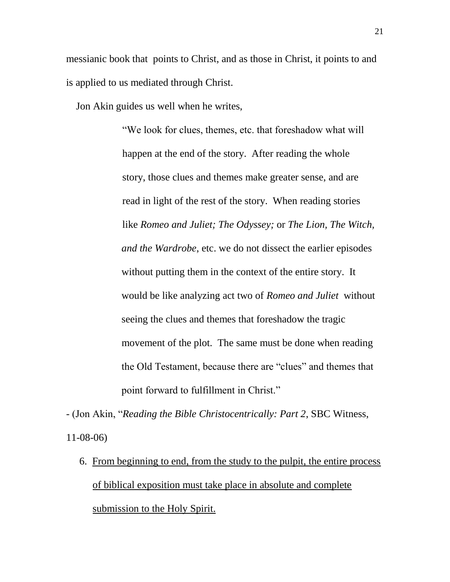messianic book that points to Christ, and as those in Christ, it points to and is applied to us mediated through Christ.

Jon Akin guides us well when he writes,

"We look for clues, themes, etc. that foreshadow what will happen at the end of the story. After reading the whole story, those clues and themes make greater sense, and are read in light of the rest of the story. When reading stories like *Romeo and Juliet; The Odyssey;* or *The Lion, The Witch, and the Wardrobe*, etc. we do not dissect the earlier episodes without putting them in the context of the entire story. It would be like analyzing act two of *Romeo and Juliet* without seeing the clues and themes that foreshadow the tragic movement of the plot. The same must be done when reading the Old Testament, because there are "clues" and themes that point forward to fulfillment in Christ."

- (Jon Akin, "*Reading the Bible Christocentrically: Part 2*, SBC Witness, 11-08-06)

6. From beginning to end, from the study to the pulpit, the entire process of biblical exposition must take place in absolute and complete submission to the Holy Spirit.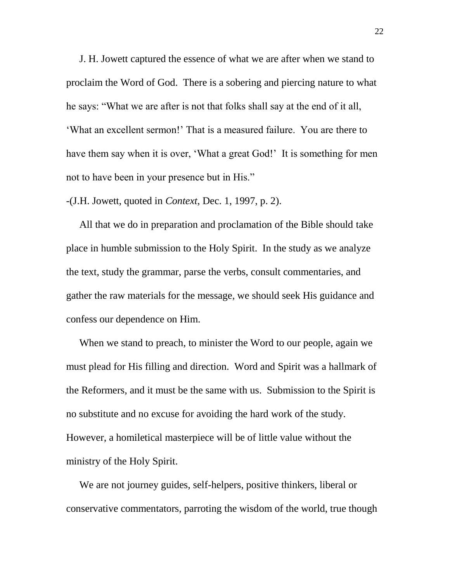J. H. Jowett captured the essence of what we are after when we stand to proclaim the Word of God. There is a sobering and piercing nature to what he says: "What we are after is not that folks shall say at the end of it all, 'What an excellent sermon!' That is a measured failure. You are there to have them say when it is over, 'What a great God!' It is something for men not to have been in your presence but in His."

-(J.H. Jowett, quoted in *Context*, Dec. 1, 1997, p. 2).

All that we do in preparation and proclamation of the Bible should take place in humble submission to the Holy Spirit. In the study as we analyze the text, study the grammar, parse the verbs, consult commentaries, and gather the raw materials for the message, we should seek His guidance and confess our dependence on Him.

When we stand to preach, to minister the Word to our people, again we must plead for His filling and direction. Word and Spirit was a hallmark of the Reformers, and it must be the same with us. Submission to the Spirit is no substitute and no excuse for avoiding the hard work of the study. However, a homiletical masterpiece will be of little value without the ministry of the Holy Spirit.

We are not journey guides, self-helpers, positive thinkers, liberal or conservative commentators, parroting the wisdom of the world, true though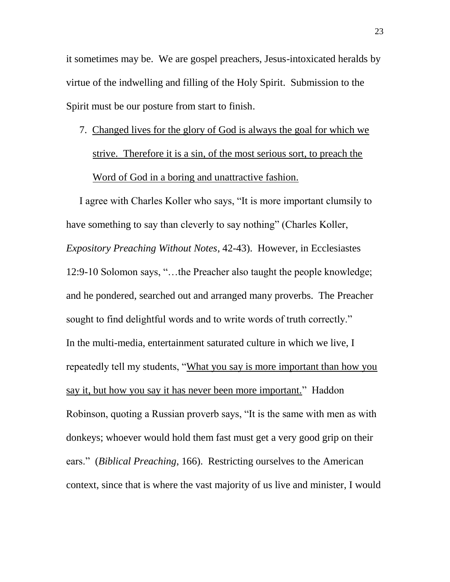it sometimes may be. We are gospel preachers, Jesus-intoxicated heralds by virtue of the indwelling and filling of the Holy Spirit. Submission to the Spirit must be our posture from start to finish.

# 7. Changed lives for the glory of God is always the goal for which we strive. Therefore it is a sin, of the most serious sort, to preach the Word of God in a boring and unattractive fashion.

I agree with Charles Koller who says, "It is more important clumsily to have something to say than cleverly to say nothing" (Charles Koller, *Expository Preaching Without Notes*, 42-43). However, in Ecclesiastes 12:9-10 Solomon says, "…the Preacher also taught the people knowledge; and he pondered, searched out and arranged many proverbs. The Preacher sought to find delightful words and to write words of truth correctly." In the multi-media, entertainment saturated culture in which we live, I repeatedly tell my students, "What you say is more important than how you say it, but how you say it has never been more important." Haddon Robinson, quoting a Russian proverb says, "It is the same with men as with donkeys; whoever would hold them fast must get a very good grip on their ears." (*Biblical Preaching*, 166). Restricting ourselves to the American context, since that is where the vast majority of us live and minister, I would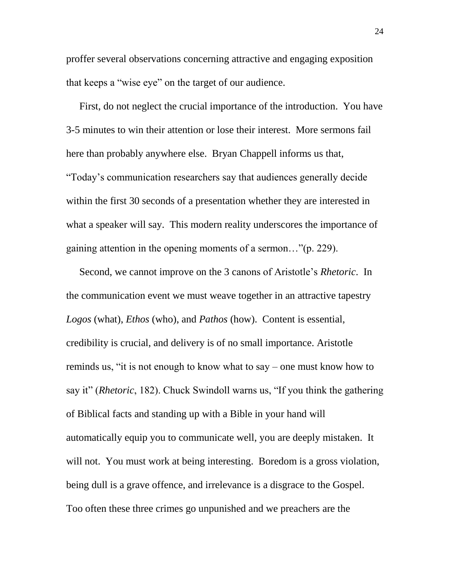proffer several observations concerning attractive and engaging exposition that keeps a "wise eye" on the target of our audience.

First, do not neglect the crucial importance of the introduction. You have 3-5 minutes to win their attention or lose their interest. More sermons fail here than probably anywhere else. Bryan Chappell informs us that, "Today's communication researchers say that audiences generally decide within the first 30 seconds of a presentation whether they are interested in what a speaker will say. This modern reality underscores the importance of gaining attention in the opening moments of a sermon…"(p. 229).

Second, we cannot improve on the 3 canons of Aristotle's *Rhetoric*. In the communication event we must weave together in an attractive tapestry *Logos* (what), *Ethos* (who), and *Pathos* (how). Content is essential, credibility is crucial, and delivery is of no small importance. Aristotle reminds us, "it is not enough to know what to say – one must know how to say it" (*Rhetoric*, 182). Chuck Swindoll warns us, "If you think the gathering of Biblical facts and standing up with a Bible in your hand will automatically equip you to communicate well, you are deeply mistaken. It will not. You must work at being interesting. Boredom is a gross violation, being dull is a grave offence, and irrelevance is a disgrace to the Gospel. Too often these three crimes go unpunished and we preachers are the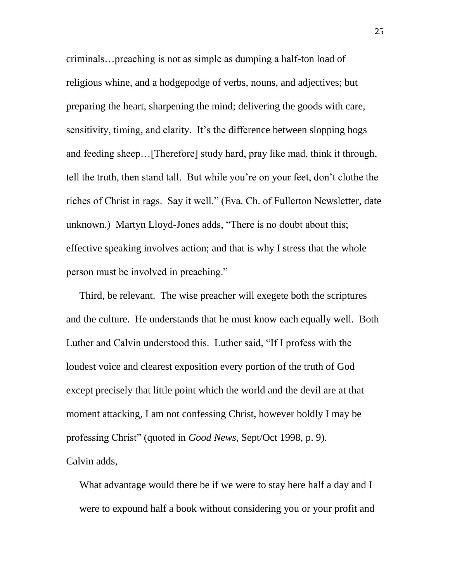criminals…preaching is not as simple as dumping a half-ton load of religious whine, and a hodgepodge of verbs, nouns, and adjectives; but preparing the heart, sharpening the mind; delivering the goods with care, sensitivity, timing, and clarity. It's the difference between slopping hogs and feeding sheep…[Therefore] study hard, pray like mad, think it through, tell the truth, then stand tall. But while you're on your feet, don't clothe the riches of Christ in rags. Say it well." (Eva. Ch. of Fullerton Newsletter, date unknown.) Martyn Lloyd-Jones adds, "There is no doubt about this; effective speaking involves action; and that is why I stress that the whole person must be involved in preaching."

Third, be relevant. The wise preacher will exegete both the scriptures and the culture. He understands that he must know each equally well. Both Luther and Calvin understood this. Luther said, "If I profess with the loudest voice and clearest exposition every portion of the truth of God except precisely that little point which the world and the devil are at that moment attacking, I am not confessing Christ, however boldly I may be professing Christ" (quoted in *Good News*, Sept/Oct 1998, p. 9). Calvin adds,

What advantage would there be if we were to stay here half a day and I were to expound half a book without considering you or your profit and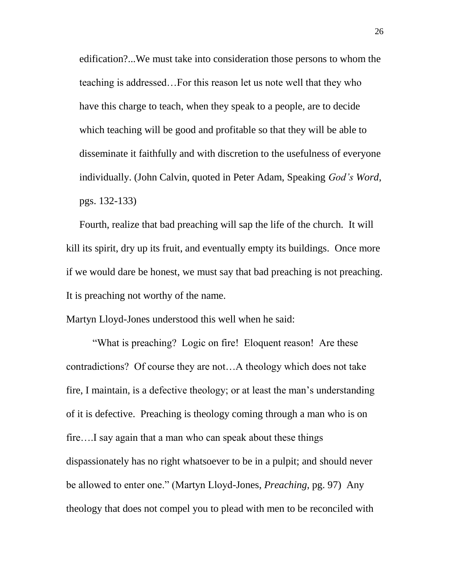edification?...We must take into consideration those persons to whom the teaching is addressed…For this reason let us note well that they who have this charge to teach, when they speak to a people, are to decide which teaching will be good and profitable so that they will be able to disseminate it faithfully and with discretion to the usefulness of everyone individually. (John Calvin, quoted in Peter Adam, Speaking *God's Word*, pgs. 132-133)

Fourth, realize that bad preaching will sap the life of the church. It will kill its spirit, dry up its fruit, and eventually empty its buildings. Once more if we would dare be honest, we must say that bad preaching is not preaching. It is preaching not worthy of the name.

Martyn Lloyd-Jones understood this well when he said:

"What is preaching? Logic on fire! Eloquent reason! Are these contradictions? Of course they are not…A theology which does not take fire, I maintain, is a defective theology; or at least the man's understanding of it is defective. Preaching is theology coming through a man who is on fire….I say again that a man who can speak about these things dispassionately has no right whatsoever to be in a pulpit; and should never be allowed to enter one." (Martyn Lloyd-Jones, *Preaching*, pg. 97) Any theology that does not compel you to plead with men to be reconciled with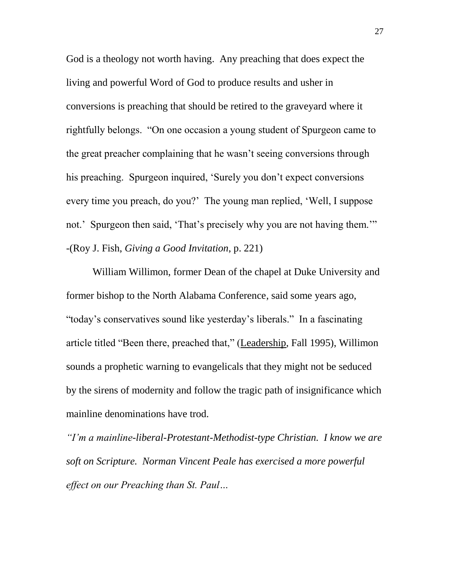God is a theology not worth having. Any preaching that does expect the living and powerful Word of God to produce results and usher in conversions is preaching that should be retired to the graveyard where it rightfully belongs. "On one occasion a young student of Spurgeon came to the great preacher complaining that he wasn't seeing conversions through his preaching. Spurgeon inquired, 'Surely you don't expect conversions every time you preach, do you?' The young man replied, 'Well, I suppose not.' Spurgeon then said, 'That's precisely why you are not having them.'" -(Roy J. Fish, *Giving a Good Invitation*, p. 221)

William Willimon, former Dean of the chapel at Duke University and former bishop to the North Alabama Conference, said some years ago, "today's conservatives sound like yesterday's liberals." In a fascinating article titled "Been there, preached that," (Leadership, Fall 1995), Willimon sounds a prophetic warning to evangelicals that they might not be seduced by the sirens of modernity and follow the tragic path of insignificance which mainline denominations have trod.

*"I'm a mainline-liberal-Protestant-Methodist-type Christian. I know we are soft on Scripture. Norman Vincent Peale has exercised a more powerful effect on our Preaching than St. Paul…*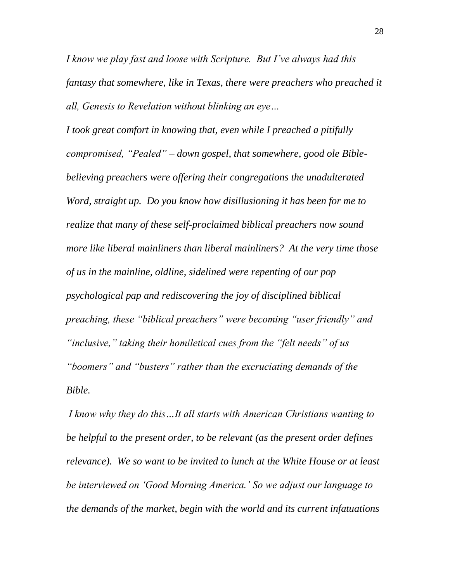*I know we play fast and loose with Scripture. But I've always had this fantasy that somewhere, like in Texas, there were preachers who preached it all, Genesis to Revelation without blinking an eye…*

*I took great comfort in knowing that, even while I preached a pitifully compromised, "Pealed" – down gospel, that somewhere, good ole Biblebelieving preachers were offering their congregations the unadulterated Word, straight up. Do you know how disillusioning it has been for me to realize that many of these self-proclaimed biblical preachers now sound more like liberal mainliners than liberal mainliners? At the very time those of us in the mainline, oldline, sidelined were repenting of our pop psychological pap and rediscovering the joy of disciplined biblical preaching, these "biblical preachers" were becoming "user friendly" and "inclusive," taking their homiletical cues from the "felt needs" of us "boomers" and "busters" rather than the excruciating demands of the Bible.* 

*I know why they do this…It all starts with American Christians wanting to be helpful to the present order, to be relevant (as the present order defines relevance). We so want to be invited to lunch at the White House or at least be interviewed on 'Good Morning America.' So we adjust our language to the demands of the market, begin with the world and its current infatuations*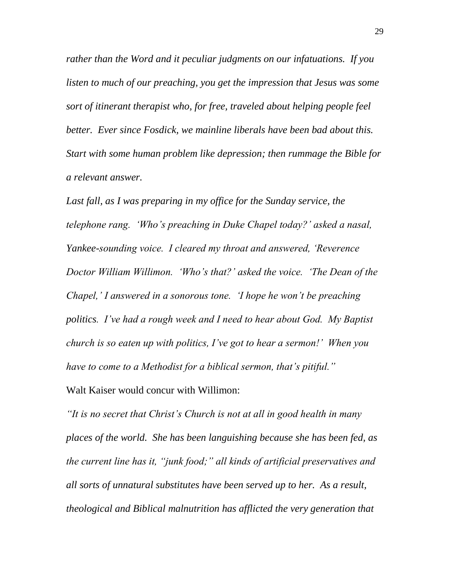*rather than the Word and it peculiar judgments on our infatuations. If you listen to much of our preaching, you get the impression that Jesus was some sort of itinerant therapist who, for free, traveled about helping people feel better. Ever since Fosdick, we mainline liberals have been bad about this. Start with some human problem like depression; then rummage the Bible for a relevant answer.* 

Last fall, as I was preparing in my office for the Sunday service, the *telephone rang. 'Who's preaching in Duke Chapel today?' asked a nasal, Yankee-sounding voice. I cleared my throat and answered, 'Reverence Doctor William Willimon. 'Who's that?' asked the voice. 'The Dean of the Chapel,' I answered in a sonorous tone. 'I hope he won't be preaching politics. I've had a rough week and I need to hear about God. My Baptist church is so eaten up with politics, I've got to hear a sermon!' When you have to come to a Methodist for a biblical sermon, that's pitiful."* Walt Kaiser would concur with Willimon:

*"It is no secret that Christ's Church is not at all in good health in many places of the world. She has been languishing because she has been fed, as the current line has it, "junk food;" all kinds of artificial preservatives and all sorts of unnatural substitutes have been served up to her. As a result, theological and Biblical malnutrition has afflicted the very generation that*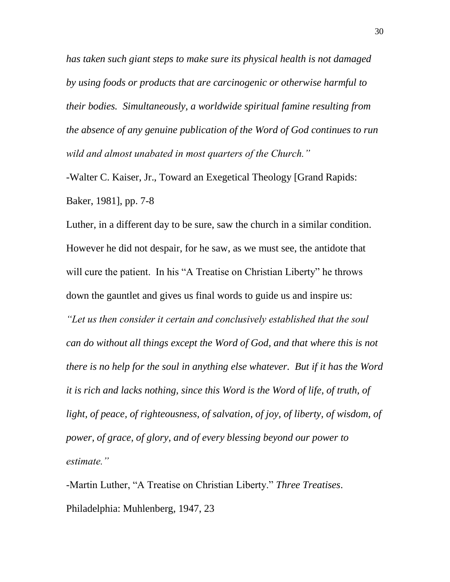*has taken such giant steps to make sure its physical health is not damaged by using foods or products that are carcinogenic or otherwise harmful to their bodies. Simultaneously, a worldwide spiritual famine resulting from the absence of any genuine publication of the Word of God continues to run wild and almost unabated in most quarters of the Church."* 

-Walter C. Kaiser, Jr., Toward an Exegetical Theology [Grand Rapids: Baker, 1981], pp. 7-8

Luther, in a different day to be sure, saw the church in a similar condition. However he did not despair, for he saw, as we must see, the antidote that will cure the patient. In his "A Treatise on Christian Liberty" he throws down the gauntlet and gives us final words to guide us and inspire us:

*"Let us then consider it certain and conclusively established that the soul can do without all things except the Word of God, and that where this is not there is no help for the soul in anything else whatever. But if it has the Word it is rich and lacks nothing, since this Word is the Word of life, of truth, of*  light, of peace, of righteousness, of salvation, of joy, of liberty, of wisdom, of *power, of grace, of glory, and of every blessing beyond our power to estimate."* 

-Martin Luther, "A Treatise on Christian Liberty." *Three Treatises*. Philadelphia: Muhlenberg, 1947, 23